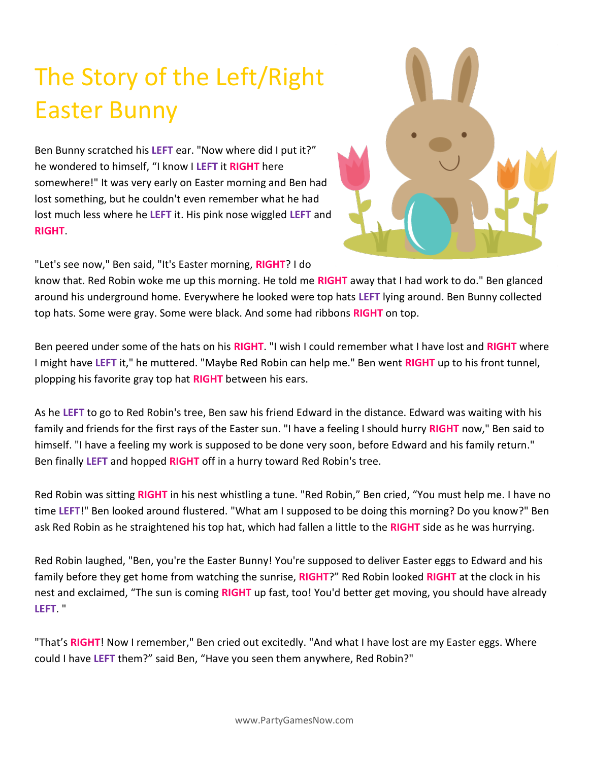## The Story of the Left/Right Easter Bunny

Ben Bunny scratched his **LEFT** ear. "Now where did I put it?" he wondered to himself, "I know I **LEFT** it **RIGHT** here somewhere!" It was very early on Easter morning and Ben had lost something, but he couldn't even remember what he had lost much less where he **LEFT** it. His pink nose wiggled **LEFT** and **RIGHT**.



"Let's see now," Ben said, "It's Easter morning, **RIGHT**? I do

know that. Red Robin woke me up this morning. He told me **RIGHT** away that I had work to do." Ben glanced around his underground home. Everywhere he looked were top hats **LEFT** lying around. Ben Bunny collected top hats. Some were gray. Some were black. And some had ribbons **RIGHT** on top.

Ben peered under some of the hats on his **RIGHT**. "I wish I could remember what I have lost and **RIGHT** where I might have **LEFT** it," he muttered. "Maybe Red Robin can help me." Ben went **RIGHT** up to his front tunnel, plopping his favorite gray top hat **RIGHT** between his ears.

As he **LEFT** to go to Red Robin's tree, Ben saw his friend Edward in the distance. Edward was waiting with his family and friends for the first rays of the Easter sun. "I have a feeling I should hurry **RIGHT** now," Ben said to himself. "I have a feeling my work is supposed to be done very soon, before Edward and his family return." Ben finally **LEFT** and hopped **RIGHT** off in a hurry toward Red Robin's tree.

Red Robin was sitting **RIGHT** in his nest whistling a tune. "Red Robin," Ben cried, "You must help me. I have no time **LEFT**!" Ben looked around flustered. "What am I supposed to be doing this morning? Do you know?" Ben ask Red Robin as he straightened his top hat, which had fallen a little to the **RIGHT** side as he was hurrying.

Red Robin laughed, "Ben, you're the Easter Bunny! You're supposed to deliver Easter eggs to Edward and his family before they get home from watching the sunrise, **RIGHT**?" Red Robin looked **RIGHT** at the clock in his nest and exclaimed, "The sun is coming **RIGHT** up fast, too! You'd better get moving, you should have already **LEFT**. "

"That's **RIGHT**! Now I remember," Ben cried out excitedly. "And what I have lost are my Easter eggs. Where could I have **LEFT** them?" said Ben, "Have you seen them anywhere, Red Robin?"